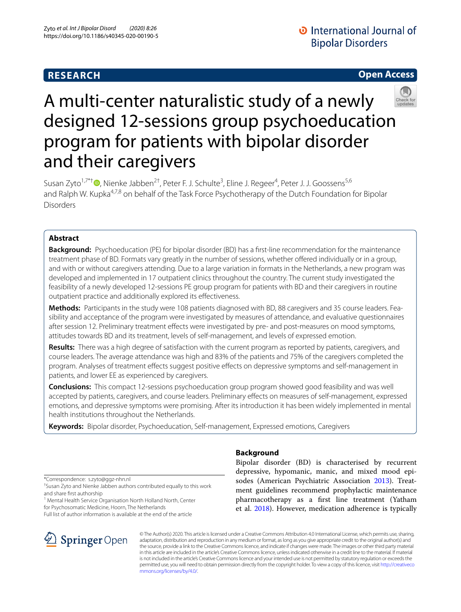# **RESEARCH**

# **Open Access**



# A multi-center naturalistic study of a newly designed 12-sessions group psychoeducation program for patients with bipolar disorder and their caregivers

Susan Zyto<sup>1,7\*†</sup><sup>®</sup>, Nienke Jabben<sup>2†</sup>, Peter F. J. Schulte<sup>3</sup>, Eline J. Regeer<sup>4</sup>, Peter J. J. Goossens<sup>5,6</sup> and Ralph W. Kupka<sup>4,7,8</sup> on behalf of the Task Force Psychotherapy of the Dutch Foundation for Bipolar Disorders

## **Abstract**

**Background:** Psychoeducation (PE) for bipolar disorder (BD) has a frst-line recommendation for the maintenance treatment phase of BD. Formats vary greatly in the number of sessions, whether ofered individually or in a group, and with or without caregivers attending. Due to a large variation in formats in the Netherlands, a new program was developed and implemented in 17 outpatient clinics throughout the country. The current study investigated the feasibility of a newly developed 12-sessions PE group program for patients with BD and their caregivers in routine outpatient practice and additionally explored its efectiveness.

**Methods:** Participants in the study were 108 patients diagnosed with BD, 88 caregivers and 35 course leaders. Feasibility and acceptance of the program were investigated by measures of attendance, and evaluative questionnaires after session 12. Preliminary treatment efects were investigated by pre- and post-measures on mood symptoms, attitudes towards BD and its treatment, levels of self-management, and levels of expressed emotion.

**Results:** There was a high degree of satisfaction with the current program as reported by patients, caregivers, and course leaders. The average attendance was high and 83% of the patients and 75% of the caregivers completed the program. Analyses of treatment efects suggest positive efects on depressive symptoms and self-management in patients, and lower EE as experienced by caregivers.

**Conclusions:** This compact 12-sessions psychoeducation group program showed good feasibility and was well accepted by patients, caregivers, and course leaders. Preliminary efects on measures of self-management, expressed emotions, and depressive symptoms were promising. After its introduction it has been widely implemented in mental health institutions throughout the Netherlands.

**Keywords:** Bipolar disorder, Psychoeducation, Self-management, Expressed emotions, Caregivers

\*Correspondence: s.zyto@ggz-nhn.nl

† Susan Zyto and Nienke Jabben authors contributed equally to this work and share frst authorship

<sup>1</sup> Mental Health Service Organisation North Holland North, Center for Psychosomatic Medicine, Hoorn, The Netherlands

Full list of author information is available at the end of the article



# **Background**

Bipolar disorder (BD) is characterised by recurrent depressive, hypomanic, manic, and mixed mood episodes (American Psychiatric Association 2013). Treatment guidelines recommend prophylactic maintenance pharmacotherapy as a frst line treatment (Yatham et al. 2018). However, medication adherence is typically

© The Author(s) 2020. This article is licensed under a Creative Commons Attribution 4.0 International License, which permits use, sharing, adaptation, distribution and reproduction in any medium or format, as long as you give appropriate credit to the original author(s) and the source, provide a link to the Creative Commons licence, and indicate if changes were made. The images or other third party material in this article are included in the article's Creative Commons licence, unless indicated otherwise in a credit line to the material. If material is not included in the article's Creative Commons licence and your intended use is not permitted by statutory regulation or exceeds the permitted use, you will need to obtain permission directly from the copyright holder. To view a copy of this licence, visit http://creativeco mmons.org/licenses/by/4.0/.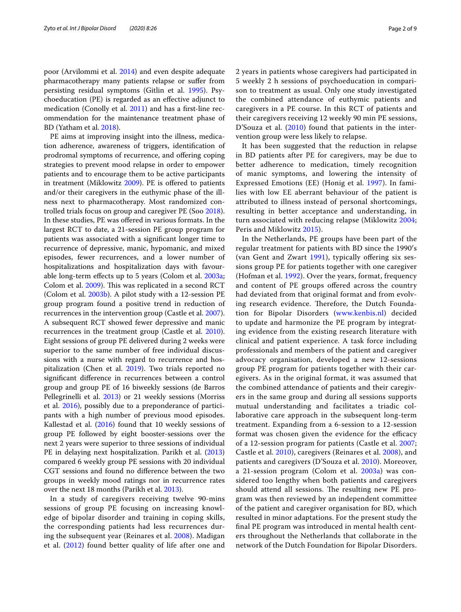poor (Arvilommi et al. 2014) and even despite adequate pharmacotherapy many patients relapse or sufer from persisting residual symptoms (Gitlin et al. 1995). Psychoeducation (PE) is regarded as an efective adjunct to medication (Conolly et al. 2011) and has a frst-line recommendation for the maintenance treatment phase of BD (Yatham et al. 2018).

PE aims at improving insight into the illness, medication adherence, awareness of triggers, identifcation of prodromal symptoms of recurrence, and offering coping strategies to prevent mood relapse in order to empower patients and to encourage them to be active participants in treatment (Miklowitz 2009). PE is offered to patients and/or their caregivers in the euthymic phase of the illness next to pharmacotherapy. Most randomized controlled trials focus on group and caregiver PE (Soo 2018). In these studies, PE was ofered in various formats. In the largest RCT to date, a 21-session PE group program for patients was associated with a signifcant longer time to recurrence of depressive, manic, hypomanic, and mixed episodes, fewer recurrences, and a lower number of hospitalizations and hospitalization days with favourable long-term efects up to 5 years (Colom et al. 2003a; Colom et al. 2009). This was replicated in a second RCT (Colom et al. 2003b). A pilot study with a 12-session PE group program found a positive trend in reduction of recurrences in the intervention group (Castle et al. 2007). A subsequent RCT showed fewer depressive and manic recurrences in the treatment group (Castle et al. 2010). Eight sessions of group PE delivered during 2 weeks were superior to the same number of free individual discussions with a nurse with regard to recurrence and hospitalization (Chen et al. 2019). Two trials reported no signifcant diference in recurrences between a control group and group PE of 16 biweekly sessions (de Barros Pellegrinelli et al. 2013) or 21 weekly sessions (Morriss et al. 2016), possibly due to a preponderance of participants with a high number of previous mood episodes. Kallestad et al. (2016) found that 10 weekly sessions of group PE followed by eight booster-sessions over the next 2 years were superior to three sessions of individual PE in delaying next hospitalization. Parikh et al. (2013) compared 6 weekly group PE sessions with 20 individual CGT sessions and found no diference between the two groups in weekly mood ratings nor in recurrence rates over the next 18 months (Parikh et al. 2013).

In a study of caregivers receiving twelve 90-mins sessions of group PE focusing on increasing knowledge of bipolar disorder and training in coping skills, the corresponding patients had less recurrences during the subsequent year (Reinares et al. 2008). Madigan et al. (2012) found better quality of life after one and 2 years in patients whose caregivers had participated in 5 weekly 2 h sessions of psychoeducation in comparison to treatment as usual. Only one study investigated the combined attendance of euthymic patients and caregivers in a PE course. In this RCT of patients and their caregivers receiving 12 weekly 90 min PE sessions, D'Souza et al. (2010) found that patients in the intervention group were less likely to relapse.

It has been suggested that the reduction in relapse in BD patients after PE for caregivers, may be due to better adherence to medication, timely recognition of manic symptoms, and lowering the intensity of Expressed Emotions (EE) (Honig et al. 1997). In families with low EE aberrant behaviour of the patient is attributed to illness instead of personal shortcomings, resulting in better acceptance and understanding, in turn associated with reducing relapse (Miklowitz 2004; Peris and Miklowitz 2015).

In the Netherlands, PE groups have been part of the regular treatment for patients with BD since the 1990′s (van Gent and Zwart 1991), typically offering six sessions group PE for patients together with one caregiver (Hofman et al. 1992). Over the years, format, frequency and content of PE groups ofered across the country had deviated from that original format and from evolving research evidence. Therefore, the Dutch Foundation for Bipolar Disorders (www.kenbis.nl) decided to update and harmonize the PE program by integrating evidence from the existing research literature with clinical and patient experience. A task force including professionals and members of the patient and caregiver advocacy organisation, developed a new 12-sessions group PE program for patients together with their caregivers. As in the original format, it was assumed that the combined attendance of patients and their caregivers in the same group and during all sessions supports mutual understanding and facilitates a triadic collaborative care approach in the subsequent long-term treatment. Expanding from a 6-session to a 12-session format was chosen given the evidence for the efficacy of a 12-session program for patients (Castle et al. 2007; Castle et al. 2010), caregivers (Reinares et al. 2008), and patients and caregivers (D'Souza et al. 2010). Moreover, a 21-session program (Colom et al. 2003a) was considered too lengthy when both patients and caregivers should attend all sessions. The resulting new PE program was then reviewed by an independent committee of the patient and caregiver organisation for BD, which resulted in minor adaptations. For the present study the fnal PE program was introduced in mental health centers throughout the Netherlands that collaborate in the network of the Dutch Foundation for Bipolar Disorders.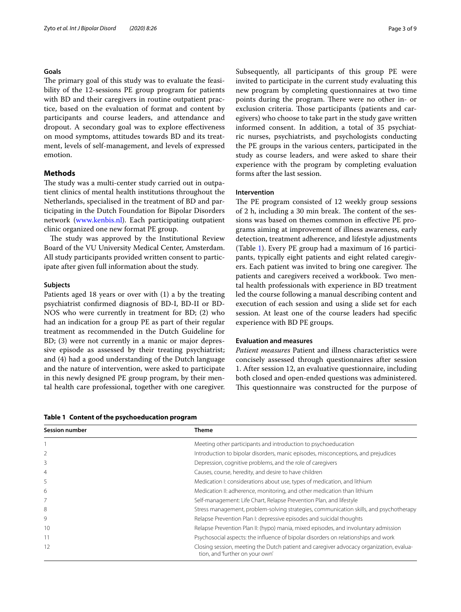## **Goals**

The primary goal of this study was to evaluate the feasibility of the 12-sessions PE group program for patients with BD and their caregivers in routine outpatient practice, based on the evaluation of format and content by participants and course leaders, and attendance and dropout. A secondary goal was to explore efectiveness on mood symptoms, attitudes towards BD and its treatment, levels of self-management, and levels of expressed emotion.

## **Methods**

The study was a multi-center study carried out in outpatient clinics of mental health institutions throughout the Netherlands, specialised in the treatment of BD and participating in the Dutch Foundation for Bipolar Disorders network (www.kenbis.nl). Each participating outpatient clinic organized one new format PE group.

The study was approved by the Institutional Review Board of the VU University Medical Center, Amsterdam. All study participants provided written consent to participate after given full information about the study.

## **Subjects**

Patients aged 18 years or over with (1) a by the treating psychiatrist confrmed diagnosis of BD-I, BD-II or BD-NOS who were currently in treatment for BD; (2) who had an indication for a group PE as part of their regular treatment as recommended in the Dutch Guideline for BD; (3) were not currently in a manic or major depressive episode as assessed by their treating psychiatrist; and (4) had a good understanding of the Dutch language and the nature of intervention, were asked to participate in this newly designed PE group program, by their mental health care professional, together with one caregiver.

Subsequently, all participants of this group PE were invited to participate in the current study evaluating this new program by completing questionnaires at two time points during the program. There were no other in- or exclusion criteria. Those participants (patients and caregivers) who choose to take part in the study gave written informed consent. In addition, a total of 35 psychiatric nurses, psychiatrists, and psychologists conducting the PE groups in the various centers, participated in the study as course leaders, and were asked to share their experience with the program by completing evaluation forms after the last session.

## **Intervention**

The PE program consisted of 12 weekly group sessions of 2 h, including a 30 min break. The content of the sessions was based on themes common in efective PE programs aiming at improvement of illness awareness, early detection, treatment adherence, and lifestyle adjustments (Table 1). Every PE group had a maximum of 16 participants, typically eight patients and eight related caregivers. Each patient was invited to bring one caregiver. The patients and caregivers received a workbook. Two mental health professionals with experience in BD treatment led the course following a manual describing content and execution of each session and using a slide set for each session. At least one of the course leaders had specifc experience with BD PE groups.

## **Evaluation and measures**

*Patient measures* Patient and illness characteristics were concisely assessed through questionnaires after session 1. After session 12, an evaluative questionnaire, including both closed and open-ended questions was administered. This questionnaire was constructed for the purpose of

**Table 1 Content of the psychoeducation program**

| <b>Session number</b> | Theme                                                                                                                      |
|-----------------------|----------------------------------------------------------------------------------------------------------------------------|
|                       | Meeting other participants and introduction to psychoeducation                                                             |
|                       | Introduction to bipolar disorders, manic episodes, misconceptions, and prejudices                                          |
| 3                     | Depression, cognitive problems, and the role of caregivers                                                                 |
| $\overline{4}$        | Causes, course, heredity, and desire to have children                                                                      |
| 5                     | Medication I: considerations about use, types of medication, and lithium                                                   |
| 6                     | Medication II: adherence, monitoring, and other medication than lithium                                                    |
|                       | Self-management: Life Chart, Relapse Prevention Plan, and lifestyle                                                        |
| 8                     | Stress management, problem-solving strategies, communication skills, and psychotherapy                                     |
| 9                     | Relapse Prevention Plan I: depressive episodes and suicidal thoughts                                                       |
| 10                    | Relapse Prevention Plan II: (hypo) mania, mixed episodes, and involuntary admission                                        |
| 11                    | Psychosocial aspects: the influence of bipolar disorders on relationships and work                                         |
| 12                    | Closing session, meeting the Dutch patient and caregiver advocacy organization, evalua-<br>tion, and 'further on your own' |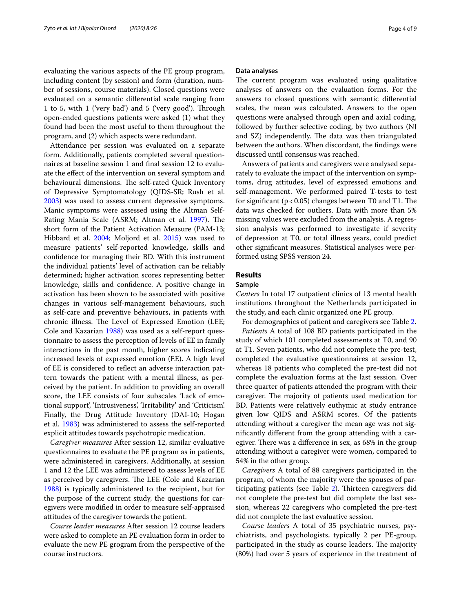evaluating the various aspects of the PE group program, including content (by session) and form (duration, number of sessions, course materials). Closed questions were evaluated on a semantic diferential scale ranging from 1 to 5, with 1 ('very bad') and 5 ('very good'). Through open-ended questions patients were asked (1) what they found had been the most useful to them throughout the program, and (2) which aspects were redundant.

Attendance per session was evaluated on a separate form. Additionally, patients completed several questionnaires at baseline session 1 and fnal session 12 to evaluate the efect of the intervention on several symptom and behavioural dimensions. The self-rated Quick Inventory of Depressive Symptomatology (QIDS-SR; Rush et al. 2003) was used to assess current depressive symptoms. Manic symptoms were assessed using the Altman Self-Rating Mania Scale (ASRM; Altman et al. 1997). The short form of the Patient Activation Measure (PAM-13; Hibbard et al. 2004; Moljord et al. 2015) was used to measure patients' self-reported knowledge, skills and confdence for managing their BD. With this instrument the individual patients' level of activation can be reliably determined; higher activation scores representing better knowledge, skills and confdence. A positive change in activation has been shown to be associated with positive changes in various self-management behaviours, such as self-care and preventive behaviours, in patients with chronic illness. The Level of Expressed Emotion (LEE; Cole and Kazarian 1988) was used as a self-report questionnaire to assess the perception of levels of EE in family interactions in the past month, higher scores indicating increased levels of expressed emotion (EE). A high level of EE is considered to refect an adverse interaction pattern towards the patient with a mental illness, as perceived by the patient. In addition to providing an overall score, the LEE consists of four subscales 'Lack of emotional support', 'Intrusiveness', 'Irritability' and 'Criticism'. Finally, the Drug Attitude Inventory (DAI-10; Hogan et al. 1983) was administered to assess the self-reported explicit attitudes towards psychotropic medication.

*Caregiver measures* After session 12, similar evaluative questionnaires to evaluate the PE program as in patients, were administered in caregivers. Additionally, at session 1 and 12 the LEE was administered to assess levels of EE as perceived by caregivers. The LEE (Cole and Kazarian 1988) is typically administered to the recipient, but for the purpose of the current study, the questions for caregivers were modifed in order to measure self-appraised attitudes of the caregiver towards the patient.

*Course leader measures* After session 12 course leaders were asked to complete an PE evaluation form in order to evaluate the new PE grogram from the perspective of the course instructors.

## **Data analyses**

The current program was evaluated using qualitative analyses of answers on the evaluation forms. For the answers to closed questions with semantic diferential scales, the mean was calculated. Answers to the open questions were analysed through open and axial coding, followed by further selective coding, by two authors (NJ and SZ) independently. The data was then triangulated between the authors. When discordant, the fndings were discussed until consensus was reached.

Answers of patients and caregivers were analysed separately to evaluate the impact of the intervention on symptoms, drug attitudes, level of expressed emotions and self-management. We performed paired T-tests to test for significant ( $p < 0.05$ ) changes between T0 and T1. The data was checked for outliers. Data with more than 5% missing values were excluded from the analysis. A regression analysis was performed to investigate if severity of depression at T0, or total illness years, could predict other signifcant measures. Statistical analyses were performed using SPSS version 24.

## **Results**

## **Sample**

*Centers* In total 17 outpatient clinics of 13 mental health institutions throughout the Netherlands participated in the study, and each clinic organized one PE group.

For demographics of patient and caregivers see Table 2.

*Patients* A total of 108 BD patients participated in the study of which 101 completed assessments at T0, and 90 at T1. Seven patients, who did not complete the pre-test, completed the evaluative questionnaires at session 12, whereas 18 patients who completed the pre-test did not complete the evaluation forms at the last session. Over three quarter of patients attended the program with their caregiver. The majority of patients used medication for BD. Patients were relatively euthymic at study entrance given low QIDS and ASRM scores. Of the patients attending without a caregiver the mean age was not signifcantly diferent from the group attending with a caregiver. There was a difference in sex, as 68% in the group attending without a caregiver were women, compared to 54% in the other group.

*Caregivers* A total of 88 caregivers participated in the program, of whom the majority were the spouses of participating patients (see Table 2). Thirteen caregivers did not complete the pre-test but did complete the last session, whereas 22 caregivers who completed the pre-test did not complete the last evaluative session.

*Course leaders* A total of 35 psychiatric nurses, psychiatrists, and psychologists, typically 2 per PE-group, participated in the study as course leaders. The majority (80%) had over 5 years of experience in the treatment of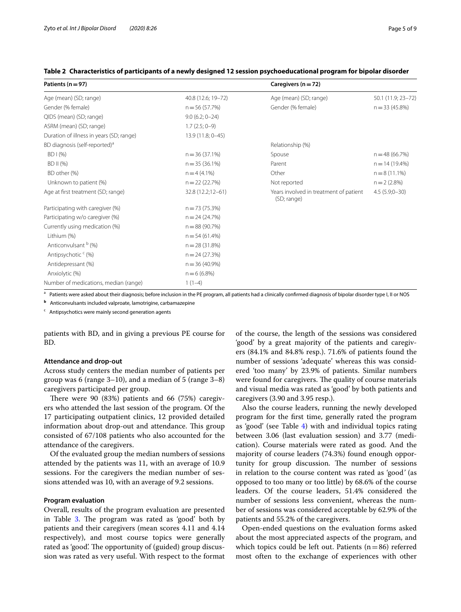| Patients ( $n = 97$ )                     |                    | Caregivers ( $n = 72$ )                               |                    |  |  |  |  |  |
|-------------------------------------------|--------------------|-------------------------------------------------------|--------------------|--|--|--|--|--|
| Age (mean) (SD; range)                    | 40.8 (12.6; 19-72) | Age (mean) (SD; range)                                | 50.1 (11.9; 23-72) |  |  |  |  |  |
| Gender (% female)                         | $n = 56(57.7%)$    | Gender (% female)                                     | $n = 33(45.8%)$    |  |  |  |  |  |
| QIDS (mean) (SD; range)                   | $9.0(6.2; 0-24)$   |                                                       |                    |  |  |  |  |  |
| ASRM (mean) (SD; range)                   | $1.7(2.5; 0-9)$    |                                                       |                    |  |  |  |  |  |
| Duration of illness in years (SD; range)  | 13.9 (11.8; 0-45)  |                                                       |                    |  |  |  |  |  |
| BD diagnosis (self-reported) <sup>a</sup> |                    | Relationship (%)                                      |                    |  |  |  |  |  |
| BD1(%)                                    | $n = 36(37.1%)$    | Spouse                                                | $n = 48(66.7%)$    |  |  |  |  |  |
| BD II (%)                                 | $n = 35(36.1\%)$   | Parent                                                | $n = 14(19.4\%)$   |  |  |  |  |  |
| BD other (%)                              | $n = 4(4.1\%)$     | Other                                                 | $n = 8(11.1\%)$    |  |  |  |  |  |
| Unknown to patient (%)                    | $n = 22(22.7%)$    | Not reported                                          | $n = 2(2.8%)$      |  |  |  |  |  |
| Age at first treatment (SD; range)        | 32.8 (12.2;12-61)  | Years involved in treatment of patient<br>(SD; range) | $4.5(5.9;0-30)$    |  |  |  |  |  |
| Participating with caregiver (%)          | $n = 73(75.3%)$    |                                                       |                    |  |  |  |  |  |
| Participating w/o caregiver (%)           | $n = 24(24.7%)$    |                                                       |                    |  |  |  |  |  |
| Currently using medication (%)            | $n = 88(90.7%)$    |                                                       |                    |  |  |  |  |  |
| Lithium (%)                               | $n = 54(61.4%)$    |                                                       |                    |  |  |  |  |  |
| Anticonvulsant b (%)                      | $n = 28(31.8%)$    |                                                       |                    |  |  |  |  |  |
| Antipsychotic <sup>c</sup> (%)            | $n = 24(27.3%)$    |                                                       |                    |  |  |  |  |  |
| Antidepressant (%)                        | $n = 36(40.9%)$    |                                                       |                    |  |  |  |  |  |
| Anxiolytic (%)                            | $n = 6(6.8%)$      |                                                       |                    |  |  |  |  |  |
| Number of medications, median (range)     | $1(1-4)$           |                                                       |                    |  |  |  |  |  |

## **Table 2 Characteristics of participants of a newly designed 12 session psychoeducational program for bipolar disorder**

<sup>a</sup> Patients were asked about their diagnosis; before inclusion in the PE program, all patients had a clinically confirmed diagnosis of bipolar disorder type I, II or NOS

**<sup>b</sup>** Anticonvulsants included valproate, lamotrigine, carbamazepine

c Antipsychotics were mainly second generation agents

patients with BD, and in giving a previous PE course for BD.

## **Attendance and drop‑out**

Across study centers the median number of patients per group was 6 (range 3–10), and a median of 5 (range 3–8) caregivers participated per group.

There were  $90$  (83%) patients and 66 (75%) caregivers who attended the last session of the program. Of the 17 participating outpatient clinics, 12 provided detailed information about drop-out and attendance. This group consisted of 67/108 patients who also accounted for the attendance of the caregivers.

Of the evaluated group the median numbers of sessions attended by the patients was 11, with an average of 10.9 sessions. For the caregivers the median number of sessions attended was 10, with an average of 9.2 sessions.

## **Program evaluation**

Overall, results of the program evaluation are presented in Table 3. The program was rated as 'good' both by patients and their caregivers (mean scores 4.11 and 4.14 respectively), and most course topics were generally rated as 'good'. The opportunity of (guided) group discussion was rated as very useful. With respect to the format

of the course, the length of the sessions was considered 'good' by a great majority of the patients and caregivers (84.1% and 84.8% resp.). 71.6% of patients found the number of sessions 'adequate' whereas this was considered 'too many' by 23.9% of patients. Similar numbers were found for caregivers. The quality of course materials and visual media was rated as 'good' by both patients and caregivers (3.90 and 3.95 resp.).

Also the course leaders, running the newly developed program for the frst time, generally rated the program as 'good' (see Table 4) with and individual topics rating between 3.06 (last evaluation session) and 3.77 (medication). Course materials were rated as good. And the majority of course leaders (74.3%) found enough opportunity for group discussion. The number of sessions in relation to the course content was rated as 'good*'* (as opposed to too many or too little) by 68.6% of the course leaders. Of the course leaders, 51.4% considered the number of sessions less convenient, whereas the number of sessions was considered acceptable by 62.9% of the patients and 55.2% of the caregivers.

Open-ended questions on the evaluation forms asked about the most appreciated aspects of the program, and which topics could be left out. Patients  $(n=86)$  referred most often to the exchange of experiences with other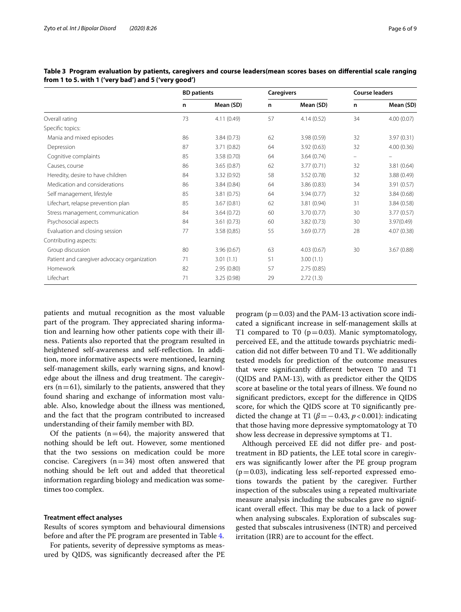|                                             | <b>BD</b> patients |             | <b>Caregivers</b> |             | <b>Course leaders</b> |            |  |
|---------------------------------------------|--------------------|-------------|-------------------|-------------|-----------------------|------------|--|
|                                             | n                  | Mean (SD)   | n                 | Mean (SD)   | n                     | Mean (SD)  |  |
| Overall rating                              | 73                 | 4.11(0.49)  | 57                | 4.14(0.52)  | 34                    | 4.00(0.07) |  |
| Specific topics:                            |                    |             |                   |             |                       |            |  |
| Mania and mixed episodes                    | 86                 | 3.84(0.73)  | 62                | 3.98(0.59)  | 32                    | 3.97(0.31) |  |
| Depression                                  | 87                 | 3.71(0.82)  | 64                | 3.92(0.63)  | 32                    | 4.00(0.36) |  |
| Cognitive complaints                        | 85                 | 3.58(0.70)  | 64                | 3.64(0.74)  | -                     | ÷          |  |
| Causes, course                              | 86                 | 3.65(0.87)  | 62                | 3.77(0.71)  | 32                    | 3.81(0.64) |  |
| Heredity, desire to have children           | 84                 | 3.32 (0.92) | 58                | 3.52(0.78)  | 32                    | 3.88(0.49) |  |
| Medication and considerations               | 86                 | 3.84(0.84)  | 64                | 3.86 (0.83) | 34                    | 3.91(0.57) |  |
| Self management, lifestyle                  | 85                 | 3.81(0.75)  | 64                | 3.94(0.77)  | 32                    | 3.84(0.68) |  |
| Lifechart, relapse prevention plan          | 85                 | 3.67(0.81)  | 62                | 3.81 (0.94) | 31                    | 3.84(0.58) |  |
| Stress management, communication            | 84                 | 3.64(0.72)  | 60                | 3.70(0.77)  | 30                    | 3.77(0.57) |  |
| Psychosocial aspects                        | 84                 | 3.61(0.73)  | 60                | 3.82(0.73)  | 30                    | 3.97(0.49) |  |
| Evaluation and closing session              | 77                 | 3.58(0,85)  | 55                | 3.69(0.77)  | 28                    | 4.07(0.38) |  |
| Contributing aspects:                       |                    |             |                   |             |                       |            |  |
| Group discussion                            | 80                 | 3.96(0.67)  | 63                | 4.03(0.67)  | 30                    | 3.67(0.88) |  |
| Patient and caregiver advocacy organization | 71                 | 3.01(1.1)   | 51                | 3.00(1.1)   |                       |            |  |
| Homework                                    | 82                 | 2.95(0.80)  | 57                | 2.75(0.85)  |                       |            |  |
| Lifechart                                   | 71                 | 3.25(0.98)  | 29                | 2.72(1.3)   |                       |            |  |

**Table 3 Program evaluation by patients, caregivers and course leaders(mean scores bases on diferential scale ranging from 1 to 5. with 1 ('very bad') and 5 ('very good')**

patients and mutual recognition as the most valuable part of the program. They appreciated sharing information and learning how other patients cope with their illness. Patients also reported that the program resulted in heightened self-awareness and self-refection. In addition, more informative aspects were mentioned, learning self-management skills, early warning signs, and knowledge about the illness and drug treatment. The caregivers ( $n=61$ ), similarly to the patients, answered that they found sharing and exchange of information most valuable. Also, knowledge about the illness was mentioned, and the fact that the program contributed to increased understanding of their family member with BD.

Of the patients  $(n=64)$ , the majority answered that nothing should be left out. However, some mentioned that the two sessions on medication could be more concise. Caregivers  $(n=34)$  most often answered that nothing should be left out and added that theoretical information regarding biology and medication was sometimes too complex.

## **Treatment efect analyses**

Results of scores symptom and behavioural dimensions before and after the PE program are presented in Table 4.

For patients, severity of depressive symptoms as measured by QIDS, was signifcantly decreased after the PE program ( $p=0.03$ ) and the PAM-13 activation score indicated a signifcant increase in self-management skills at T1 compared to T0 ( $p=0.03$ ). Manic symptomatology, perceived EE, and the attitude towards psychiatric medication did not difer between T0 and T1. We additionally tested models for prediction of the outcome measures that were signifcantly diferent between T0 and T1 (QIDS and PAM-13), with as predictor either the QIDS score at baseline or the total years of illness. We found no signifcant predictors, except for the diference in QIDS score, for which the QIDS score at T0 signifcantly predicted the change at T1 ( $\beta$ =−0.43, *p* <0.001): indicating that those having more depressive symptomatology at T0 show less decrease in depressive symptoms at T1.

Although perceived EE did not difer pre- and posttreatment in BD patients, the LEE total score in caregivers was signifcantly lower after the PE group program  $(p=0.03)$ , indicating less self-reported expressed emotions towards the patient by the caregiver. Further inspection of the subscales using a repeated multivariate measure analysis including the subscales gave no significant overall effect. This may be due to a lack of power when analysing subscales. Exploration of subscales suggested that subscales intrusiveness (INTR) and perceived irritation (IRR) are to account for the efect.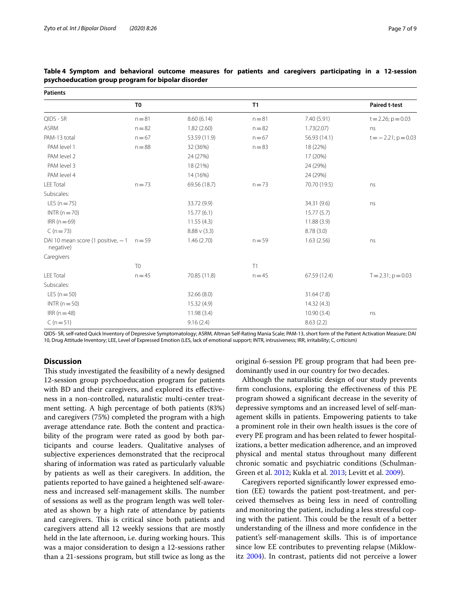| <b>Patients</b>                                |                |                   |          |              |                          |  |  |  |
|------------------------------------------------|----------------|-------------------|----------|--------------|--------------------------|--|--|--|
|                                                | T <sub>0</sub> |                   | T1       |              | <b>Paired t-test</b>     |  |  |  |
| QIDS - SR                                      | $n = 81$       | 8.60(6.14)        | $n = 81$ | 7.40 (5.91)  | $t = 2.26$ ; $p = 0.03$  |  |  |  |
| <b>ASRM</b>                                    | $n = 82$       | 1.82(2.60)        | $n = 82$ | 1.73(2.07)   | ns                       |  |  |  |
| PAM-13 total                                   | $n = 67$       | 53.59 (11.9)      | $n = 67$ | 56.93 (14.1) | $t = -2.21$ ; $p = 0.03$ |  |  |  |
| PAM level 1                                    | $n = 88$       | 32 (36%)          | $n = 83$ | 18 (22%)     |                          |  |  |  |
| PAM level 2                                    |                | 24 (27%)          |          | 17 (20%)     |                          |  |  |  |
| PAM level 3                                    |                | 18 (21%)          |          | 24 (29%)     |                          |  |  |  |
| PAM level 4                                    |                | 14 (16%)          |          | 24 (29%)     |                          |  |  |  |
| <b>LEE Total</b>                               | $n = 73$       | 69.56 (18.7)      | $n = 73$ | 70.70 (19.5) | ns                       |  |  |  |
| Subscales:                                     |                |                   |          |              |                          |  |  |  |
| $LES (n = 75)$                                 |                | 33.72 (9.9)       |          | 34.31 (9.6)  | ns                       |  |  |  |
| $INTR(n=70)$                                   |                | 15.77(6.1)        |          | 15.77(5.7)   |                          |  |  |  |
| $IRR(n=69)$                                    |                | 11.55(4.3)        |          | 11.88(3.9)   |                          |  |  |  |
| $C(n=73)$                                      |                | $8.88 \vee (3.3)$ |          | 8.78(3.0)    |                          |  |  |  |
| DAI 10 mean score (1 positive, -1<br>negative) | $n = 59$       | 1.46(2.70)        | $n = 59$ | 1.63(2.56)   | ns                       |  |  |  |
| Caregivers                                     |                |                   |          |              |                          |  |  |  |
|                                                | T <sub>0</sub> |                   | T1       |              |                          |  |  |  |
| <b>LEE Total</b>                               | $n = 45$       | 70.85 (11.8)      | $n = 45$ | 67.59 (12.4) | $T = 2.31$ ; $p = 0.03$  |  |  |  |
| Subscales:                                     |                |                   |          |              |                          |  |  |  |
| $LES (n = 50)$                                 |                | 32.66 (8.0)       |          | 31.64 (7.8)  |                          |  |  |  |
| INTR $(n=50)$                                  |                | 15.32 (4.9)       |          | 14.32(4.3)   |                          |  |  |  |
| $IRR(n=48)$                                    |                | 11.98(3.4)        |          | 10.90(3.4)   | ns                       |  |  |  |
| $C(n=51)$                                      |                | 9.16(2.4)         |          | 8.63(2.2)    |                          |  |  |  |

| Table 4 Symptom and behavioral outcome measures for patients and caregivers participating in a 12-session |  |  |  |  |  |  |
|-----------------------------------------------------------------------------------------------------------|--|--|--|--|--|--|
| psychoeducation group program for bipolar disorder                                                        |  |  |  |  |  |  |

QIDS- SR, self-rated Quick Inventory of Depressive Symptomatology; ASRM, Altman Self-Rating Mania Scale; PAM-13, short form of the Patient Activation Measure; DAI 10, Drug Attitude Inventory; LEE, Level of Expressed Emotion (LES, lack of emotional support; INTR, intrusiveness; IRR, irritability; C, criticism)

## **Discussion**

This study investigated the feasibility of a newly designed 12-session group psychoeducation program for patients with BD and their caregivers, and explored its effectiveness in a non-controlled, naturalistic multi-center treatment setting. A high percentage of both patients (83%) and caregivers (75%) completed the program with a high average attendance rate. Both the content and practicability of the program were rated as good by both participants and course leaders. Qualitative analyses of subjective experiences demonstrated that the reciprocal sharing of information was rated as particularly valuable by patients as well as their caregivers. In addition, the patients reported to have gained a heightened self-awareness and increased self-management skills. The number of sessions as well as the program length was well tolerated as shown by a high rate of attendance by patients and caregivers. This is critical since both patients and caregivers attend all 12 weekly sessions that are mostly held in the late afternoon, *i.e.* during working hours. This was a major consideration to design a 12-sessions rather than a 21-sessions program, but still twice as long as the

original 6-session PE group program that had been predominantly used in our country for two decades.

Although the naturalistic design of our study prevents frm conclusions, exploring the efectiveness of this PE program showed a signifcant decrease in the severity of depressive symptoms and an increased level of self-management skills in patients. Empowering patients to take a prominent role in their own health issues is the core of every PE program and has been related to fewer hospitalizations, a better medication adherence, and an improved physical and mental status throughout many diferent chronic somatic and psychiatric conditions (Schulman-Green et al. 2012; Kukla et al. 2013; Levitt et al. 2009).

Caregivers reported signifcantly lower expressed emotion (EE) towards the patient post-treatment, and perceived themselves as being less in need of controlling and monitoring the patient, including a less stressful coping with the patient. This could be the result of a better understanding of the illness and more confdence in the patient's self-management skills. This is of importance since low EE contributes to preventing relapse (Miklowitz 2004). In contrast, patients did not perceive a lower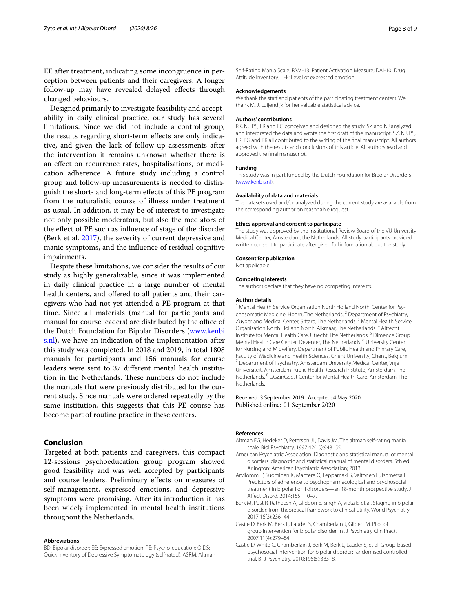EE after treatment, indicating some incongruence in perception between patients and their caregivers. A longer follow-up may have revealed delayed efects through changed behaviours.

Designed primarily to investigate feasibility and acceptability in daily clinical practice, our study has several limitations. Since we did not include a control group, the results regarding short-term efects are only indicative, and given the lack of follow-up assessments after the intervention it remains unknown whether there is an efect on recurrence rates, hospitalisations, or medication adherence. A future study including a control group and follow-up measurements is needed to distinguish the short- and long-term efects of this PE program from the naturalistic course of illness under treatment as usual. In addition, it may be of interest to investigate not only possible moderators, but also the mediators of the efect of PE such as infuence of stage of the disorder (Berk et al. 2017), the severity of current depressive and manic symptoms, and the infuence of residual cognitive impairments.

Despite these limitations, we consider the results of our study as highly generalizable, since it was implemented in daily clinical practice in a large number of mental health centers, and offered to all patients and their caregivers who had not yet attended a PE program at that time. Since all materials (manual for participants and manual for course leaders) are distributed by the office of the Dutch Foundation for Bipolar Disorders (www.kenbi s.nl), we have an indication of the implementation after this study was completed. In 2018 and 2019, in total 1808 manuals for participants and 156 manuals for course leaders were sent to 37 diferent mental health institution in the Netherlands. These numbers do not include the manuals that were previously distributed for the current study. Since manuals were ordered repeatedly by the same institution, this suggests that this PE course has become part of routine practice in these centers.

## **Conclusion**

Targeted at both patients and caregivers, this compact 12-sessions psychoeducation group program showed good feasibility and was well accepted by participants and course leaders. Preliminary efects on measures of self-management, expressed emotions, and depressive symptoms were promising. After its introduction it has been widely implemented in mental health institutions throughout the Netherlands.

#### **Abbreviations**

BD: Bipolar disorder; EE: Expressed emotion; PE: Psycho-education; QIDS: Quick Inventory of Depressive Symptomatology (self-rated); ASRM: Altman Self-Rating Mania Scale; PAM-13: Patient Activation Measure; DAI-10: Drug Attitude Inventory; LEE: Level of expressed emotion.

## **Acknowledgements**

We thank the staff and patients of the participating treatment centers. We thank M. J. Luijendijk for her valuable statistical advice.

#### **Authors' contributions**

RK, NJ, PS, ER and PG conceived and designed the study. SZ and NJ analyzed and interpreted the data and wrote the first draft of the manuscript. SZ, NJ, PS. ER, PG and RK all contributed to the writing of the fnal manuscript. All authors agreed with the results and conclusions of this article. All authors read and approved the fnal manuscript.

#### **Funding**

This study was in part funded by the Dutch Foundation for Bipolar Disorders (www.kenbis.nl).

#### **Availability of data and materials**

The datasets used and/or analyzed during the current study are available from the corresponding author on reasonable request.

#### **Ethics approval and consent to participate**

The study was approved by the Institutional Review Board of the VU University Medical Center, Amsterdam, the Netherlands. All study participants provided written consent to participate after given full information about the study.

#### **Consent for publication**

Not applicable.

# **Competing interests**

The authors declare that they have no competing interests.

#### **Author details**

<sup>1</sup> Mental Health Service Organisation North Holland North, Center for Psychosomatic Medicine, Hoorn, The Netherlands. <sup>2</sup> Department of Psychiatry, Zuyderland Medical Center, Sittard, The Netherlands. 3 Mental Health Service Organisation North Holland North, Alkmaar, The Netherlands. 4 Altrecht Institute for Mental Health Care, Utrecht, The Netherlands.<sup>5</sup> Dimence Group Mental Health Care Center, Deventer, The Netherlands. 6 University Center for Nursing and Midwifery, Department of Public Health and Primary Care, Faculty of Medicine and Health Sciences, Ghent University, Ghent, Belgium.<br><sup>7</sup> Department of Psychiatry, Amsterdam University Medical Center, Vrije Universiteit, Amsterdam Public Health Research Institute, Amsterdam, The Netherlands. <sup>8</sup> GGZinGeest Center for Mental Health Care, Amsterdam, The **Netherlands** 

## Received: 3 September 2019 Accepted: 4 May 2020 Published online: 01 September 2020

## **References**

- Altman EG, Hedeker D, Peterson JL, Davis JM. The altman self-rating mania scale. Biol Psychiatry. 1997;42(10):948–55.
- American Psychiatric Association. Diagnostic and statistical manual of mental disorders: diagnostic and statistical manual of mental disorders. 5th ed. Arlington: American Psychiatric Association; 2013.
- Arvilommi P, Suominen K, Mantere O, Leppamaki S, Valtonen H, Isometsa E. Predictors of adherence to psychopharmacological and psychosocial treatment in bipolar I or II disorders—an 18-month prospective study. J Afect Disord. 2014;155:110–7.
- Berk M, Post R, Ratheesh A, Gliddon E, Singh A, Vieta E, et al. Staging in bipolar disorder: from theoretical framework to clinical utility. World Psychiatry. 2017;16(3):236–44.
- Castle D, Berk M, Berk L, Lauder S, Chamberlain J, Gilbert M. Pilot of group intervention for bipolar disorder. Int J Psychiatry Clin Pract. 2007;11(4):279–84.
- Castle D, White C, Chamberlain J, Berk M, Berk L, Lauder S, et al. Group-based psychosocial intervention for bipolar disorder: randomised controlled trial. Br J Psychiatry. 2010;196(5):383–8.